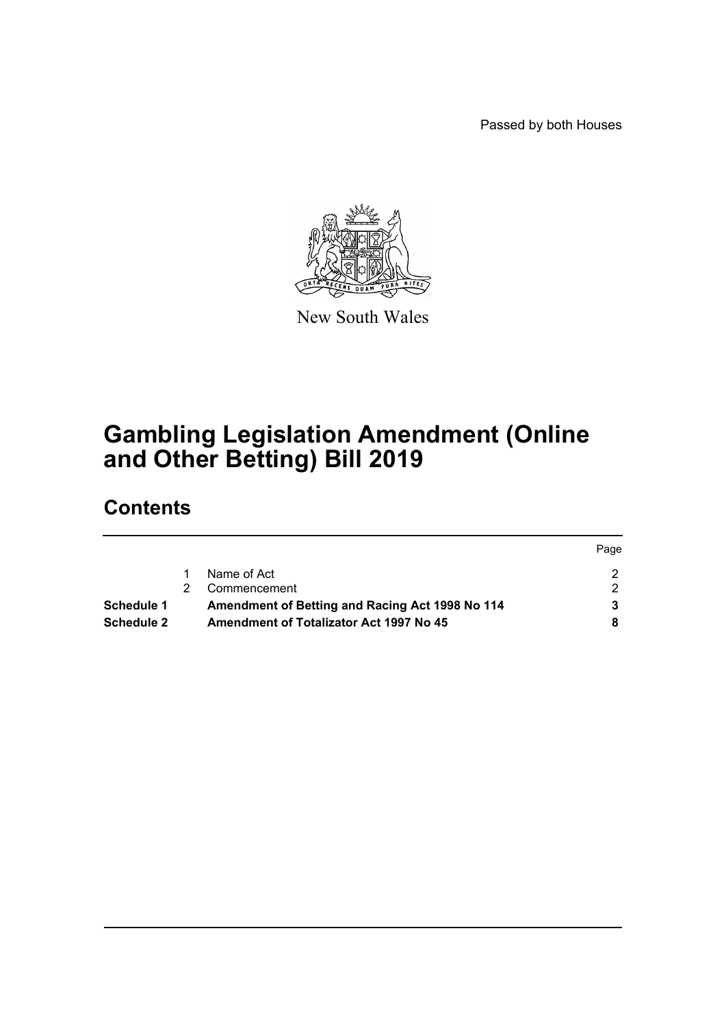Passed by both Houses

Page



New South Wales

# **Gambling Legislation Amendment (Online and Other Betting) Bill 2019**

# **Contents**

|                   |                                                 | Page |
|-------------------|-------------------------------------------------|------|
|                   | Name of Act                                     |      |
|                   | Commencement                                    |      |
| <b>Schedule 1</b> | Amendment of Betting and Racing Act 1998 No 114 |      |
| Schedule 2        | Amendment of Totalizator Act 1997 No 45         |      |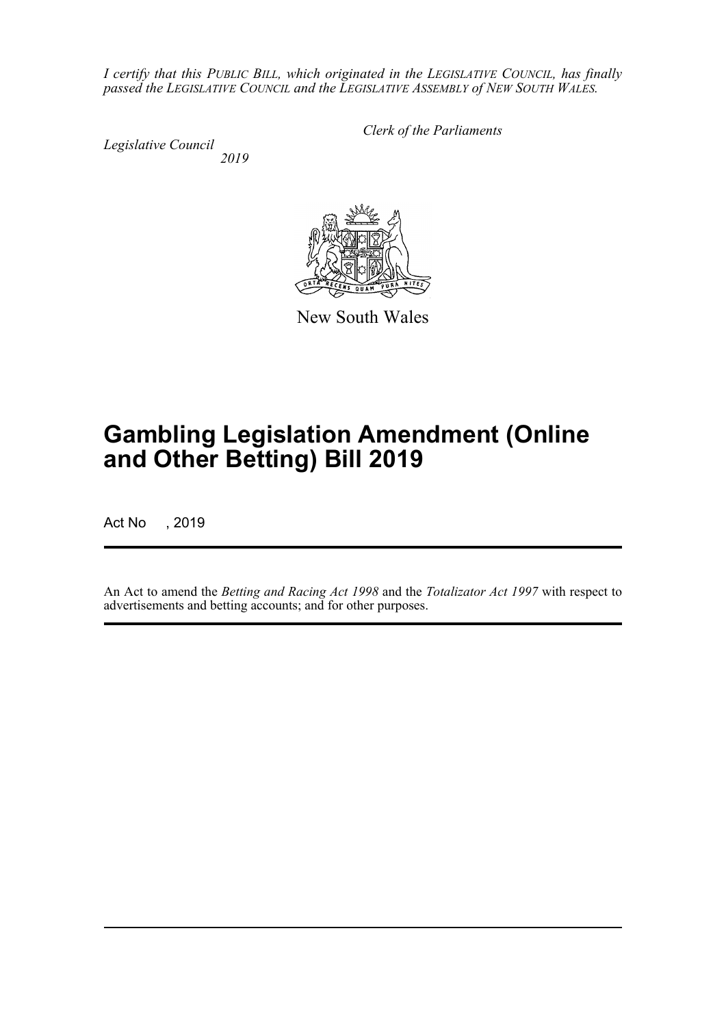*I certify that this PUBLIC BILL, which originated in the LEGISLATIVE COUNCIL, has finally passed the LEGISLATIVE COUNCIL and the LEGISLATIVE ASSEMBLY of NEW SOUTH WALES.*

*Legislative Council 2019* *Clerk of the Parliaments*



New South Wales

# **Gambling Legislation Amendment (Online and Other Betting) Bill 2019**

Act No , 2019

An Act to amend the *Betting and Racing Act 1998* and the *Totalizator Act 1997* with respect to advertisements and betting accounts; and for other purposes.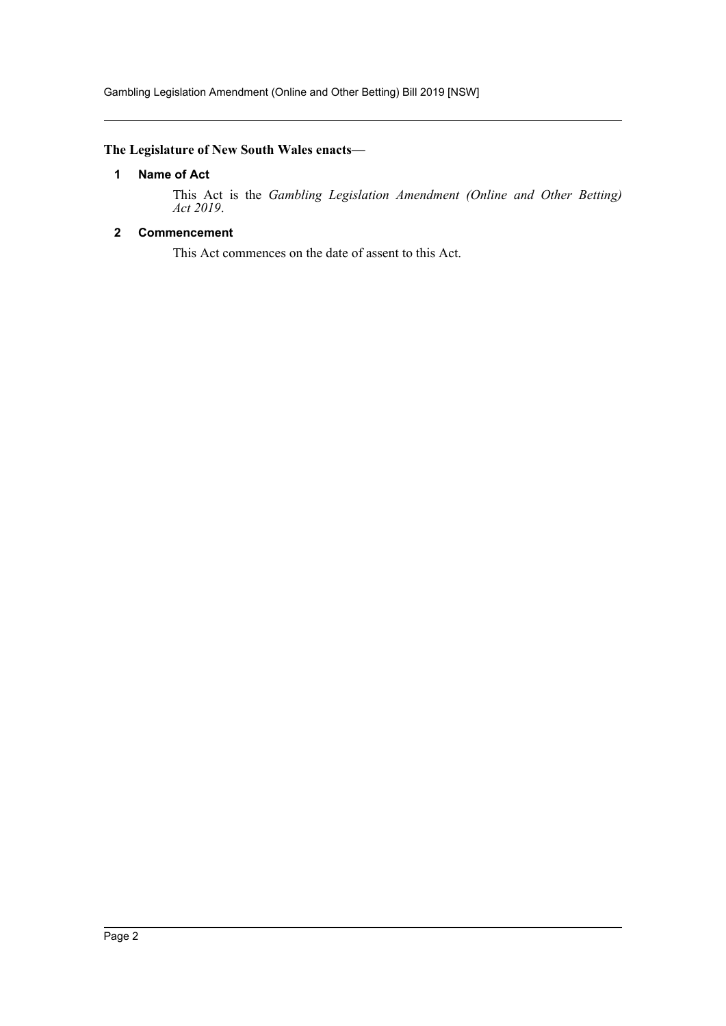Gambling Legislation Amendment (Online and Other Betting) Bill 2019 [NSW]

# <span id="page-2-0"></span>**The Legislature of New South Wales enacts—**

## **1 Name of Act**

This Act is the *Gambling Legislation Amendment (Online and Other Betting) Act 2019*.

# <span id="page-2-1"></span>**2 Commencement**

This Act commences on the date of assent to this Act.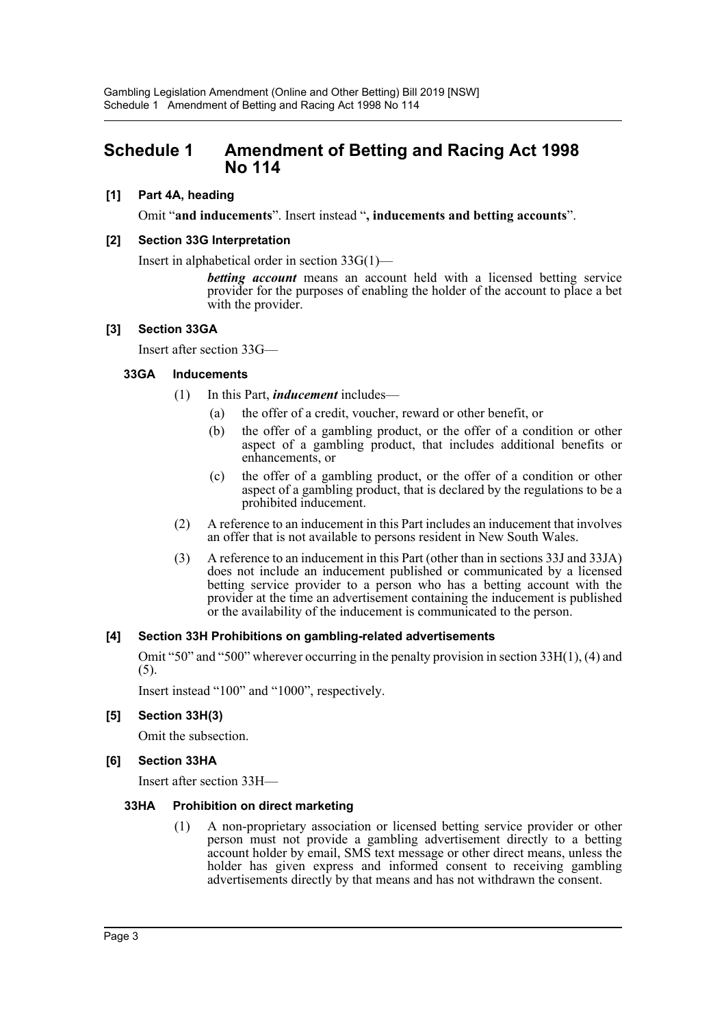# <span id="page-3-0"></span>**Schedule 1 Amendment of Betting and Racing Act 1998 No 114**

## **[1] Part 4A, heading**

Omit "**and inducements**". Insert instead "**, inducements and betting accounts**".

#### **[2] Section 33G Interpretation**

Insert in alphabetical order in section 33G(1)—

*betting account* means an account held with a licensed betting service provider for the purposes of enabling the holder of the account to place a bet with the provider.

#### **[3] Section 33GA**

Insert after section 33G—

#### **33GA Inducements**

- (1) In this Part, *inducement* includes—
	- (a) the offer of a credit, voucher, reward or other benefit, or
	- (b) the offer of a gambling product, or the offer of a condition or other aspect of a gambling product, that includes additional benefits or enhancements, or
	- (c) the offer of a gambling product, or the offer of a condition or other aspect of a gambling product, that is declared by the regulations to be a prohibited inducement.
- (2) A reference to an inducement in this Part includes an inducement that involves an offer that is not available to persons resident in New South Wales.
- (3) A reference to an inducement in this Part (other than in sections 33J and 33JA) does not include an inducement published or communicated by a licensed betting service provider to a person who has a betting account with the provider at the time an advertisement containing the inducement is published or the availability of the inducement is communicated to the person.

#### **[4] Section 33H Prohibitions on gambling-related advertisements**

Omit "50" and "500" wherever occurring in the penalty provision in section 33H(1), (4) and (5).

Insert instead "100" and "1000", respectively.

# **[5] Section 33H(3)**

Omit the subsection.

#### **[6] Section 33HA**

Insert after section 33H—

#### **33HA Prohibition on direct marketing**

(1) A non-proprietary association or licensed betting service provider or other person must not provide a gambling advertisement directly to a betting account holder by email, SMS text message or other direct means, unless the holder has given express and informed consent to receiving gambling advertisements directly by that means and has not withdrawn the consent.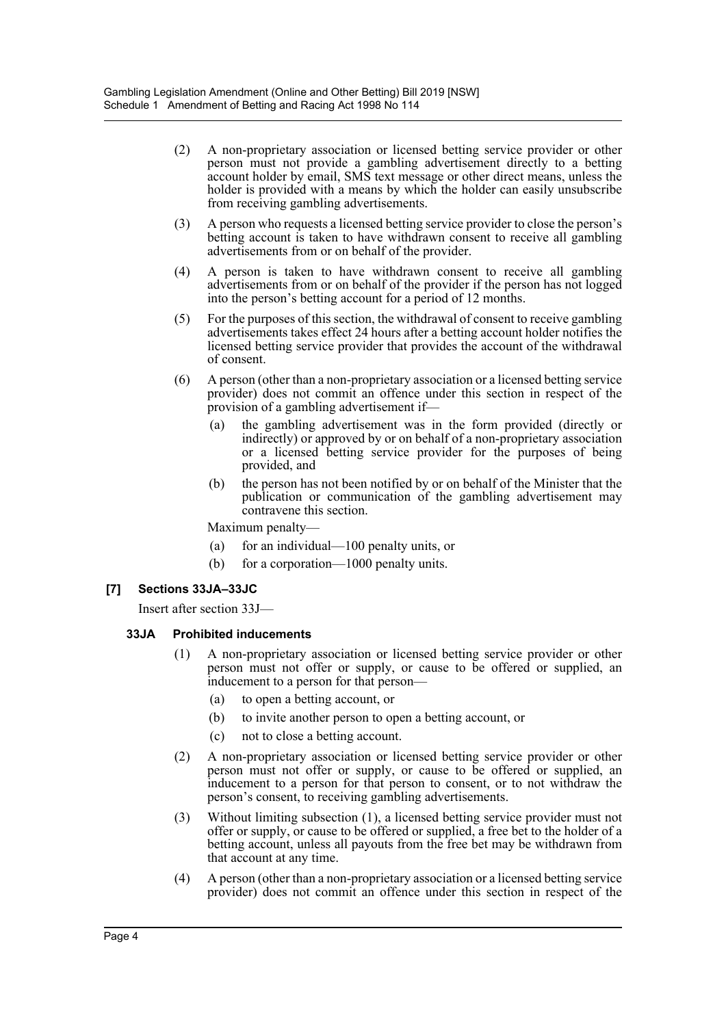- (2) A non-proprietary association or licensed betting service provider or other person must not provide a gambling advertisement directly to a betting account holder by email, SMS text message or other direct means, unless the holder is provided with a means by which the holder can easily unsubscribe from receiving gambling advertisements.
- (3) A person who requests a licensed betting service provider to close the person's betting account is taken to have withdrawn consent to receive all gambling advertisements from or on behalf of the provider.
- (4) A person is taken to have withdrawn consent to receive all gambling advertisements from or on behalf of the provider if the person has not logged into the person's betting account for a period of 12 months.
- (5) For the purposes of this section, the withdrawal of consent to receive gambling advertisements takes effect 24 hours after a betting account holder notifies the licensed betting service provider that provides the account of the withdrawal of consent.
- (6) A person (other than a non-proprietary association or a licensed betting service provider) does not commit an offence under this section in respect of the provision of a gambling advertisement if—
	- (a) the gambling advertisement was in the form provided (directly or indirectly) or approved by or on behalf of a non-proprietary association or a licensed betting service provider for the purposes of being provided, and
	- (b) the person has not been notified by or on behalf of the Minister that the publication or communication of the gambling advertisement may contravene this section.

Maximum penalty—

- (a) for an individual—100 penalty units, or
- (b) for a corporation—1000 penalty units.

# **[7] Sections 33JA–33JC**

Insert after section 33J—

## **33JA Prohibited inducements**

- (1) A non-proprietary association or licensed betting service provider or other person must not offer or supply, or cause to be offered or supplied, an inducement to a person for that person—
	- (a) to open a betting account, or
	- (b) to invite another person to open a betting account, or
	- (c) not to close a betting account.
- (2) A non-proprietary association or licensed betting service provider or other person must not offer or supply, or cause to be offered or supplied, an inducement to a person for that person to consent, or to not withdraw the person's consent, to receiving gambling advertisements.
- (3) Without limiting subsection (1), a licensed betting service provider must not offer or supply, or cause to be offered or supplied, a free bet to the holder of a betting account, unless all payouts from the free bet may be withdrawn from that account at any time.
- (4) A person (other than a non-proprietary association or a licensed betting service provider) does not commit an offence under this section in respect of the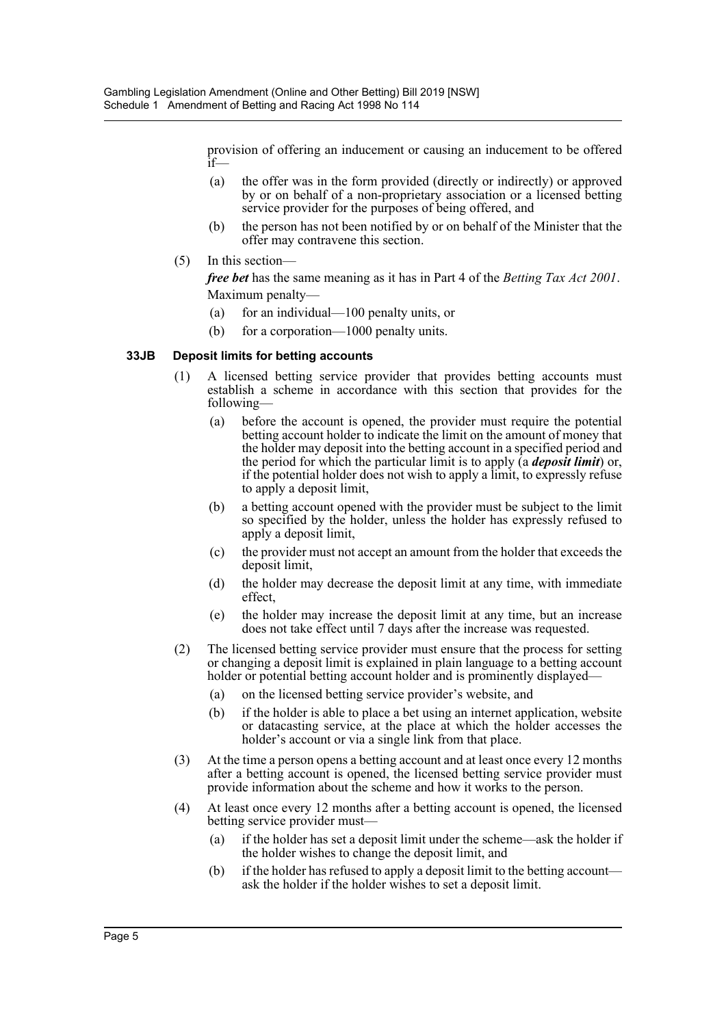provision of offering an inducement or causing an inducement to be offered if—

- (a) the offer was in the form provided (directly or indirectly) or approved by or on behalf of a non-proprietary association or a licensed betting service provider for the purposes of being offered, and
- (b) the person has not been notified by or on behalf of the Minister that the offer may contravene this section.
- (5) In this section—

*free bet* has the same meaning as it has in Part 4 of the *Betting Tax Act 2001*. Maximum penalty—

- (a) for an individual—100 penalty units, or
- (b) for a corporation—1000 penalty units.

#### **33JB Deposit limits for betting accounts**

- (1) A licensed betting service provider that provides betting accounts must establish a scheme in accordance with this section that provides for the following—
	- (a) before the account is opened, the provider must require the potential betting account holder to indicate the limit on the amount of money that the holder may deposit into the betting account in a specified period and the period for which the particular limit is to apply (a *deposit limit*) or, if the potential holder does not wish to apply a limit, to expressly refuse to apply a deposit limit,
	- (b) a betting account opened with the provider must be subject to the limit so specified by the holder, unless the holder has expressly refused to apply a deposit limit,
	- (c) the provider must not accept an amount from the holder that exceeds the deposit limit,
	- (d) the holder may decrease the deposit limit at any time, with immediate effect,
	- (e) the holder may increase the deposit limit at any time, but an increase does not take effect until 7 days after the increase was requested.
- (2) The licensed betting service provider must ensure that the process for setting or changing a deposit limit is explained in plain language to a betting account holder or potential betting account holder and is prominently displayed—
	- (a) on the licensed betting service provider's website, and
	- (b) if the holder is able to place a bet using an internet application, website or datacasting service, at the place at which the holder accesses the holder's account or via a single link from that place.
- (3) At the time a person opens a betting account and at least once every 12 months after a betting account is opened, the licensed betting service provider must provide information about the scheme and how it works to the person.
- (4) At least once every 12 months after a betting account is opened, the licensed betting service provider must—
	- (a) if the holder has set a deposit limit under the scheme—ask the holder if the holder wishes to change the deposit limit, and
	- (b) if the holder has refused to apply a deposit limit to the betting account ask the holder if the holder wishes to set a deposit limit.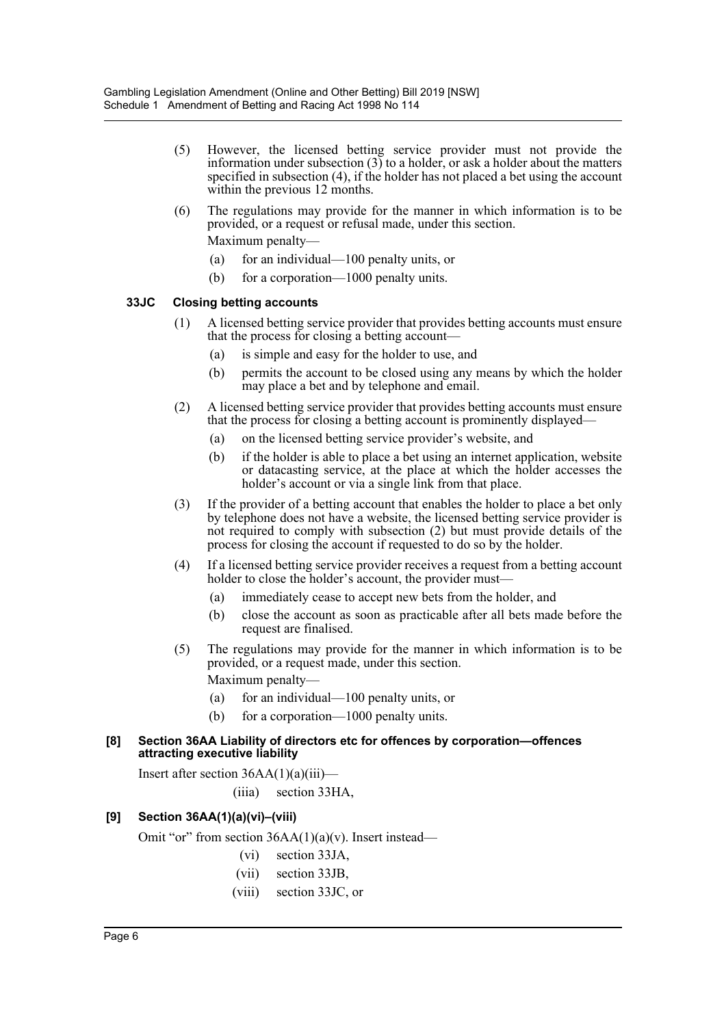- (5) However, the licensed betting service provider must not provide the information under subsection (3) to a holder, or ask a holder about the matters specified in subsection (4), if the holder has not placed a bet using the account within the previous 12 months.
- (6) The regulations may provide for the manner in which information is to be provided, or a request or refusal made, under this section. Maximum penalty—
	- (a) for an individual—100 penalty units, or
	- (b) for a corporation—1000 penalty units.

## **33JC Closing betting accounts**

- (1) A licensed betting service provider that provides betting accounts must ensure that the process for closing a betting account—
	- (a) is simple and easy for the holder to use, and
	- (b) permits the account to be closed using any means by which the holder may place a bet and by telephone and email.
- (2) A licensed betting service provider that provides betting accounts must ensure that the process for closing a betting account is prominently displayed—
	- (a) on the licensed betting service provider's website, and
	- (b) if the holder is able to place a bet using an internet application, website or datacasting service, at the place at which the holder accesses the holder's account or via a single link from that place.
- (3) If the provider of a betting account that enables the holder to place a bet only by telephone does not have a website, the licensed betting service provider is not required to comply with subsection (2) but must provide details of the process for closing the account if requested to do so by the holder.
- (4) If a licensed betting service provider receives a request from a betting account holder to close the holder's account, the provider must—
	- (a) immediately cease to accept new bets from the holder, and
	- (b) close the account as soon as practicable after all bets made before the request are finalised.
- (5) The regulations may provide for the manner in which information is to be provided, or a request made, under this section. Maximum penalty—
	- (a) for an individual—100 penalty units, or
	- (b) for a corporation—1000 penalty units.

#### **[8] Section 36AA Liability of directors etc for offences by corporation—offences attracting executive liability**

Insert after section  $36AA(1)(a)(iii)$ —

(iiia) section 33HA,

# **[9] Section 36AA(1)(a)(vi)–(viii)**

Omit "or" from section  $36AA(1)(a)(v)$ . Insert instead—

- (vi) section 33JA,
- (vii) section 33JB,
- (viii) section 33JC, or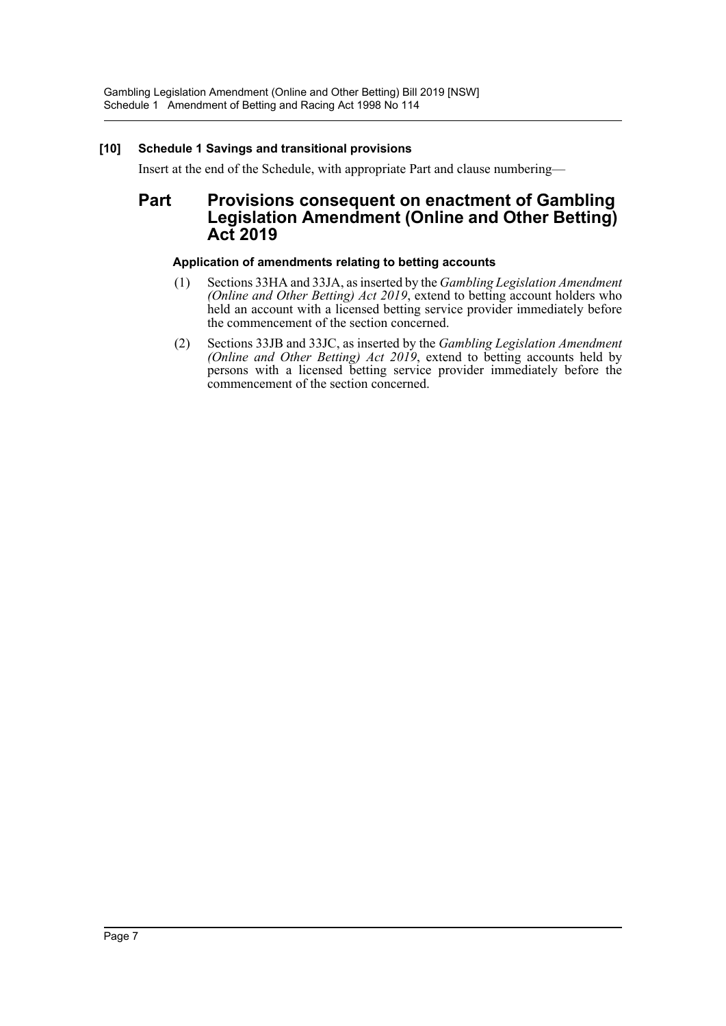# **[10] Schedule 1 Savings and transitional provisions**

Insert at the end of the Schedule, with appropriate Part and clause numbering—

# **Part Provisions consequent on enactment of Gambling Legislation Amendment (Online and Other Betting) Act 2019**

# **Application of amendments relating to betting accounts**

- (1) Sections 33HA and 33JA, as inserted by the *Gambling Legislation Amendment (Online and Other Betting) Act 2019*, extend to betting account holders who held an account with a licensed betting service provider immediately before the commencement of the section concerned.
- (2) Sections 33JB and 33JC, as inserted by the *Gambling Legislation Amendment (Online and Other Betting) Act 2019*, extend to betting accounts held by persons with a licensed betting service provider immediately before the commencement of the section concerned.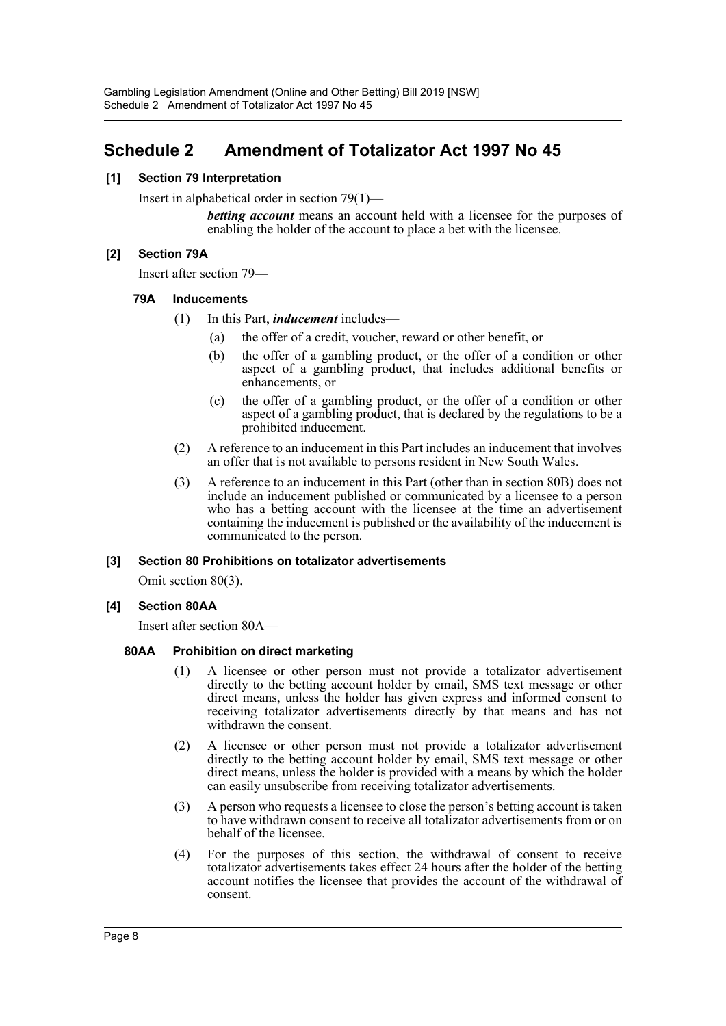# <span id="page-8-0"></span>**Schedule 2 Amendment of Totalizator Act 1997 No 45**

## **[1] Section 79 Interpretation**

Insert in alphabetical order in section 79(1)—

*betting account* means an account held with a licensee for the purposes of enabling the holder of the account to place a bet with the licensee.

#### **[2] Section 79A**

Insert after section 79—

#### **79A Inducements**

- (1) In this Part, *inducement* includes—
	- (a) the offer of a credit, voucher, reward or other benefit, or
	- (b) the offer of a gambling product, or the offer of a condition or other aspect of a gambling product, that includes additional benefits or enhancements, or
	- (c) the offer of a gambling product, or the offer of a condition or other aspect of a gambling product, that is declared by the regulations to be a prohibited inducement.
- (2) A reference to an inducement in this Part includes an inducement that involves an offer that is not available to persons resident in New South Wales.
- (3) A reference to an inducement in this Part (other than in section 80B) does not include an inducement published or communicated by a licensee to a person who has a betting account with the licensee at the time an advertisement containing the inducement is published or the availability of the inducement is communicated to the person.

#### **[3] Section 80 Prohibitions on totalizator advertisements**

Omit section 80(3).

# **[4] Section 80AA**

Insert after section 80A—

#### **80AA Prohibition on direct marketing**

- (1) A licensee or other person must not provide a totalizator advertisement directly to the betting account holder by email, SMS text message or other direct means, unless the holder has given express and informed consent to receiving totalizator advertisements directly by that means and has not withdrawn the consent.
- (2) A licensee or other person must not provide a totalizator advertisement directly to the betting account holder by email, SMS text message or other direct means, unless the holder is provided with a means by which the holder can easily unsubscribe from receiving totalizator advertisements.
- (3) A person who requests a licensee to close the person's betting account is taken to have withdrawn consent to receive all totalizator advertisements from or on behalf of the licensee.
- (4) For the purposes of this section, the withdrawal of consent to receive totalizator advertisements takes effect 24 hours after the holder of the betting account notifies the licensee that provides the account of the withdrawal of consent.